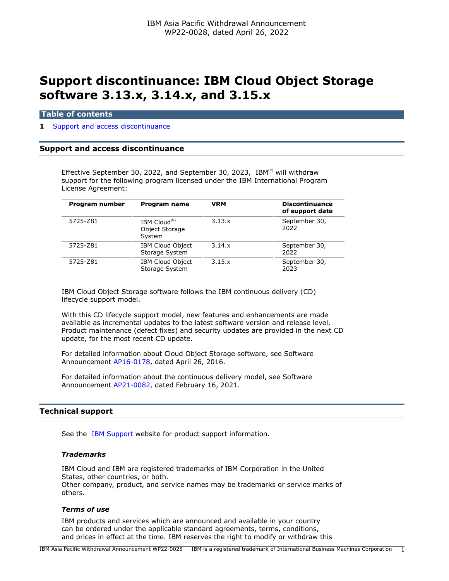# **Support discontinuance: IBM Cloud Object Storage software 3.13.x, 3.14.x, and 3.15.x**

## **Table of contents**

## **1** [Support and access discontinuance](#page-0-0)

# <span id="page-0-0"></span>**Support and access discontinuance**

Effective September 30, 2022, and September 30, 2023, IBM $^{(R)}$  will withdraw support for the following program licensed under the IBM International Program License Agreement:

| Program number | <b>Program name</b>                                  | <b>VRM</b> | <b>Discontinuance</b><br>of support date |
|----------------|------------------------------------------------------|------------|------------------------------------------|
| 5725-Z81       | IBM Cloud <sup>(R)</sup><br>Object Storage<br>System | 3.13.x     | September 30,<br>2022                    |
| 5725-Z81       | <b>IBM Cloud Object</b><br>Storage System            | 3.14.x     | September 30,<br>2022                    |
| 5725-Z81       | <b>IBM Cloud Object</b><br>Storage System            | 3.15.x     | September 30,<br>2023                    |

IBM Cloud Object Storage software follows the IBM continuous delivery (CD) lifecycle support model.

With this CD lifecycle support model, new features and enhancements are made available as incremental updates to the latest software version and release level. Product maintenance (defect fixes) and security updates are provided in the next CD update, for the most recent CD update.

For detailed information about Cloud Object Storage software, see Software Announcement [AP16-0178,](http://www.ibm.com/common/ssi/cgi-bin/ssialias?infotype=an&subtype=ca&appname=gpateam&supplier=872&letternum=ENUSAP16-0178) dated April 26, 2016.

For detailed information about the continuous delivery model, see Software Announcement [AP21-0082,](http://www.ibm.com/common/ssi/cgi-bin/ssialias?infotype=an&subtype=ca&appname=gpateam&supplier=872&letternum=ENUSAP21-0082) dated February 16, 2021.

# **Technical support**

See the [IBM Support](https://www.ibm.com/support) website for product support information.

# *Trademarks*

IBM Cloud and IBM are registered trademarks of IBM Corporation in the United States, other countries, or both. Other company, product, and service names may be trademarks or service marks of others.

#### *Terms of use*

IBM products and services which are announced and available in your country can be ordered under the applicable standard agreements, terms, conditions, and prices in effect at the time. IBM reserves the right to modify or withdraw this